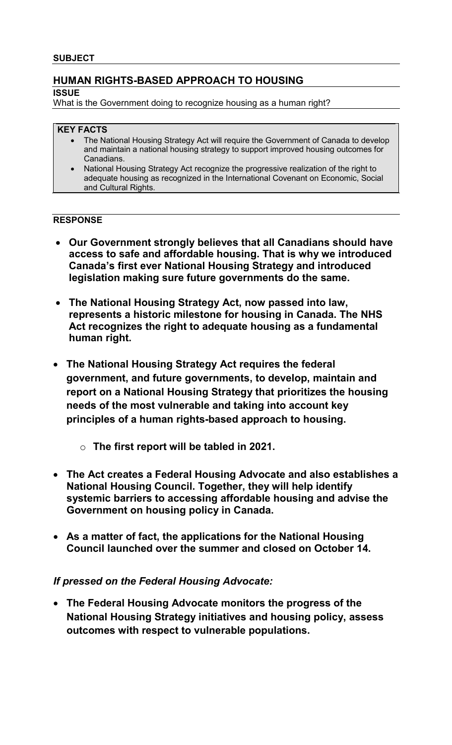# **HUMAN RIGHTS-BASED APPROACH TO HOUSING**

## **ISSUE**

What is the Government doing to recognize housing as a human right?

# **KEY FACTS**

- The National Housing Strategy Act will require the Government of Canada to develop and maintain a national housing strategy to support improved housing outcomes for Canadians.
- National Housing Strategy Act recognize the progressive realization of the right to adequate housing as recognized in the International Covenant on Economic, Social and Cultural Rights.

# **RESPONSE**

- **Our Government strongly believes that all Canadians should have access to safe and affordable housing. That is why we introduced Canada's first ever National Housing Strategy and introduced legislation making sure future governments do the same.**
- **The National Housing Strategy Act, now passed into law, represents a historic milestone for housing in Canada. The NHS Act recognizes the right to adequate housing as a fundamental human right.**
- **The National Housing Strategy Act requires the federal government, and future governments, to develop, maintain and report on a National Housing Strategy that prioritizes the housing needs of the most vulnerable and taking into account key principles of a human rights-based approach to housing.** 
	- o **The first report will be tabled in 2021.**
- **The Act creates a Federal Housing Advocate and also establishes a National Housing Council. Together, they will help identify systemic barriers to accessing affordable housing and advise the Government on housing policy in Canada.**
- **As a matter of fact, the applications for the National Housing Council launched over the summer and closed on October 14.**

# *If pressed on the Federal Housing Advocate:*

• **The Federal Housing Advocate monitors the progress of the National Housing Strategy initiatives and housing policy, assess outcomes with respect to vulnerable populations.**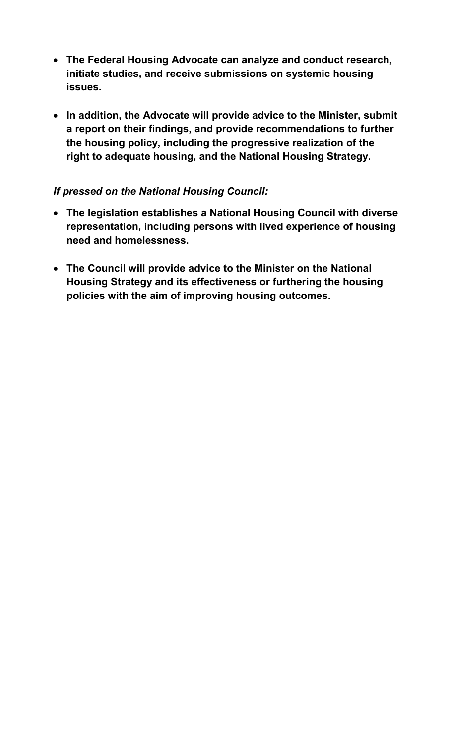- **The Federal Housing Advocate can analyze and conduct research, initiate studies, and receive submissions on systemic housing issues.**
- **In addition, the Advocate will provide advice to the Minister, submit a report on their findings, and provide recommendations to further the housing policy, including the progressive realization of the right to adequate housing, and the National Housing Strategy.**

# *If pressed on the National Housing Council:*

- **The legislation establishes a National Housing Council with diverse representation, including persons with lived experience of housing need and homelessness.**
- **The Council will provide advice to the Minister on the National Housing Strategy and its effectiveness or furthering the housing policies with the aim of improving housing outcomes.**